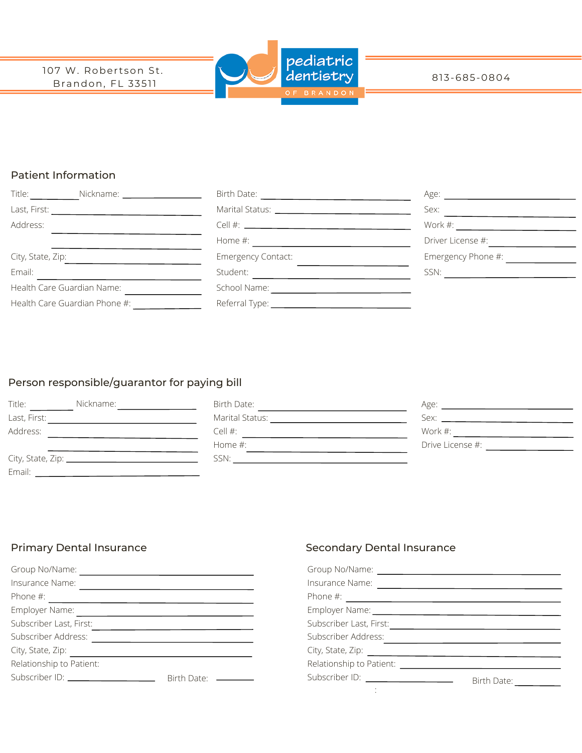

#### 813-685-0804

## Patient Information

| Title: Nickname: 2008. [19] Nickname: 2008. [19] Nickname: 2008. [19] Nickname: 2008. [19] Nickname: 2008. [19] Nickname: 2008. [19] Nickname: 2008. [19] Nickname: 2008. [19] Nickname: 2008. [19] Nickname: 2008. [19] Nickn |                                                                                                                                  | Age: the contract of the contract of the contract of the contract of the contract of the contract of the contract of the contract of the contract of the contract of the contract of the contract of the contract of the contr |
|--------------------------------------------------------------------------------------------------------------------------------------------------------------------------------------------------------------------------------|----------------------------------------------------------------------------------------------------------------------------------|--------------------------------------------------------------------------------------------------------------------------------------------------------------------------------------------------------------------------------|
| Last, First:<br><u> 1989 - Andrea Albert III, politik a postal de la provincia de la provincia de la provincia de la provincia d</u>                                                                                           |                                                                                                                                  | Sex:                                                                                                                                                                                                                           |
| Address:                                                                                                                                                                                                                       |                                                                                                                                  | Work $\#$ :                                                                                                                                                                                                                    |
|                                                                                                                                                                                                                                | Home #:<br><u> 1980 - Jan Samuel Barbara, político e a filosofono de la filosofono de la filosofono de la filosofono de la f</u> | Driver License #:                                                                                                                                                                                                              |
| City, State, Zip:                                                                                                                                                                                                              | <b>Emergency Contact:</b>                                                                                                        | Emergency Phone #:                                                                                                                                                                                                             |
| Email:                                                                                                                                                                                                                         | Student:                                                                                                                         | SSN:                                                                                                                                                                                                                           |
| Health Care Guardian Name:                                                                                                                                                                                                     | School Name:                                                                                                                     |                                                                                                                                                                                                                                |
| Health Care Guardian Phone #:                                                                                                                                                                                                  |                                                                                                                                  |                                                                                                                                                                                                                                |

# Person responsible/guarantor for paying bill

| Title:       | Nickname: | Birth Date:     | Age:             |
|--------------|-----------|-----------------|------------------|
| Last, First: |           | Marital Status: | Sex:             |
| Address:     |           | Cell $#$ :      | Work #:          |
|              |           | Home $#$ :      | Drive License #: |
|              |           | SSN:            |                  |
| Email:       |           |                 |                  |

| Group No/Name:                 |             |
|--------------------------------|-------------|
| Insurance Name:                |             |
| Phone $#$ :                    |             |
| Employer Name:                 |             |
| Subscriber Last, First:        |             |
| Subscriber Address:            |             |
| City, State, Zip:              |             |
| Relationship to Patient:       |             |
| Subscriber ID: _______________ | Birth Date: |

## Primary Dental Insurance **Secondary Dental Insurance** Secondary Dental Insurance

| Insurance Name:                                                                                                                                                                                                                |             |
|--------------------------------------------------------------------------------------------------------------------------------------------------------------------------------------------------------------------------------|-------------|
|                                                                                                                                                                                                                                |             |
| Employer Name: 1997 March 2008                                                                                                                                                                                                 |             |
| Subscriber Last, First:                                                                                                                                                                                                        |             |
| Subscriber Address:                                                                                                                                                                                                            |             |
|                                                                                                                                                                                                                                |             |
| Relationship to Patient: Network of the state of the state of the state of the state of the state of the state of the state of the state of the state of the state of the state of the state of the state of the state of the  |             |
| Subscriber ID: \\contact \\contact \\contact \\contact \\contact \\contact \\contact \\contact \\contact \\contact \\contact \\contact \\contact \\contact \\contact \\contact \\contact \\contact \\contact \\contact \\conta | Birth Date: |
|                                                                                                                                                                                                                                |             |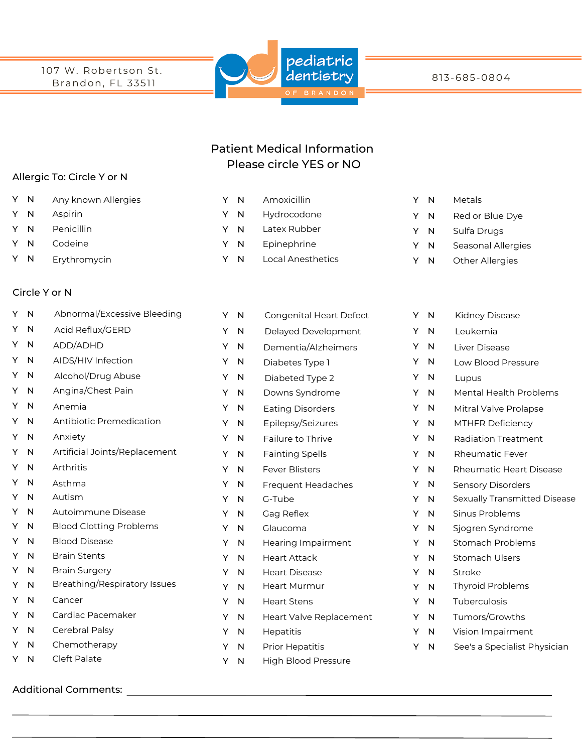107 W. Robertson St. Brandon, FL 33511



813-685-0804

# Patient Medical Information Please circle YES or NO

Latex Rubber Epinephrine

Local Anesthetics

Y N Y N Y N Y N

#### Allergic To: Circle Y or N

- Y N Any known Allergies **Match Communist Communist Communist Communist Communist Communist Communist Communist Communist Communist Communist Communist Communist Communist Communist Communist Communist Communist Communist Commu**
- Y N Aspirin
- Y N Penicillin
- Y N Codeine
- Y N Erythromycin

#### Circle Y or N

| Y  | $\overline{N}$          | Abnormal/Excessive Bleeding         | Y | $\mathsf{N}$ | Congenital Heart Defect    | Y N |   | Kidney Di  |
|----|-------------------------|-------------------------------------|---|--------------|----------------------------|-----|---|------------|
| Y  | $\mathsf{N}$            | Acid Reflux/GERD                    | Y | N            | Delayed Development        | Y   | N | Leukemia   |
|    | Y N                     | ADD/ADHD                            | Y | N            | Dementia/Alzheimers        | Y   | N | Liver Dise |
|    | Y N                     | AIDS/HIV Infection                  | Y | N            | Diabetes Type 1            | Y   | N | Low Bloor  |
| Y  | $\overline{N}$          | Alcohol/Drug Abuse                  | Y | N            | Diabeted Type 2            | Y   | N | Lupus      |
| Y  | -N                      | Angina/Chest Pain                   | Y | $\mathsf{N}$ | Downs Syndrome             | Y   | N | Mental He  |
| Y  | $\overline{\mathsf{N}}$ | Anemia                              | Y | $\mathsf{N}$ | <b>Eating Disorders</b>    | Y   | N | Mitral Val |
| Y  | $\overline{N}$          | Antibiotic Premedication            | Y | N            | Epilepsy/Seizures          | Y.  | N | MTHFR D    |
| Y. | $\overline{N}$          | Anxiety                             | Y | N            | Failure to Thrive          | Y   | N | Radiation  |
|    | Y N                     | Artificial Joints/Replacement       | Y | N            | <b>Fainting Spells</b>     | Y   | N | Rheumat    |
| Y. | $\mathsf{N}$            | Arthritis                           | Y | N            | <b>Fever Blisters</b>      | Y   | N | Rheumati   |
| Y  | $\overline{N}$          | Asthma                              | Υ | N            | Frequent Headaches         | Y   | N | Sensory D  |
| Y  | $\overline{N}$          | Autism                              | Y | N            | G-Tube                     | Y   | N | Sexually T |
| Y  | N                       | Autoimmune Disease                  | Υ | N            | Gag Reflex                 | Y   | N | Sinus Prol |
| Y  | N                       | <b>Blood Clotting Problems</b>      | Y | N            | Glaucoma                   | Y   | N | Sjogren Sy |
| Υ  | N                       | <b>Blood Disease</b>                | Y | N            | <b>Hearing Impairment</b>  | Υ   | N | Stomach    |
| Υ  | N                       | <b>Brain Stents</b>                 | Y | N            | <b>Heart Attack</b>        | Y   | N | Stomach    |
| Υ  | N                       | <b>Brain Surgery</b>                | Y | N            | <b>Heart Disease</b>       | Υ   | N | Stroke     |
| Y  | N                       | <b>Breathing/Respiratory Issues</b> | Y | N            | Heart Murmur               | Y   | N | Thyroid P  |
| Y  | N                       | Cancer                              | Y | N            | <b>Heart Stens</b>         | Υ   | N | Tuberculc  |
| Υ  | N                       | Cardiac Pacemaker                   | Y | N            | Heart Valve Replacement    | Y   | N | Tumors/G   |
| Υ  | N                       | Cerebral Palsy                      | Y | N            | Hepatitis                  | Y   | N | Vision Imp |
| Y  | N                       | Chemotherapy                        | Y | N            | Prior Hepatitis            | Y   | N | See's a Sp |
| Y  | N                       | Cleft Palate                        | Y | N            | <b>High Blood Pressure</b> |     |   |            |
|    |                         |                                     |   |              |                            |     |   |            |

### Additional Comments:

|  | Y N Amoxicillin  |  | Y N Metals          |
|--|------------------|--|---------------------|
|  | Y N Hydrocodone  |  | Y N Red or Blue Dye |
|  | Y N Latex-Rubber |  | Y N Sulfa Drugs     |

- Y N Seasonal Allergies
- Y N Other Allergies

| Υ | N | Kidney Disease                 |
|---|---|--------------------------------|
| Υ | N | Leukemia                       |
| Υ | N | Liver Disease                  |
| Υ | N | <b>Low Blood Pressure</b>      |
| Υ | N | Lupus                          |
| Υ | N | Mental Health Problems         |
| Υ | N | Mitral Valve Prolapse          |
| Υ | N | <b>MTHFR Deficiency</b>        |
| Υ | N | Radiation Treatment            |
| Υ | N | <b>Rheumatic Fever</b>         |
| Υ | N | <b>Rheumatic Heart Disease</b> |
| Υ | N | <b>Sensory Disorders</b>       |
| Υ | N | Sexually Transmitted Disease   |
| Υ | N | Sinus Problems                 |
| Υ | N | Sjogren Syndrome               |
| Υ | N | Stomach Problems               |
| Y | N | Stomach Ulsers                 |
| Υ | N | Stroke                         |
| Υ | N | Thyroid Problems               |
| Υ | N | Tuberculosis                   |
| Υ | N | Tumors/Growths                 |
| Υ | N | Vision Impairment              |
| Υ | N | See's a Specialist Physician   |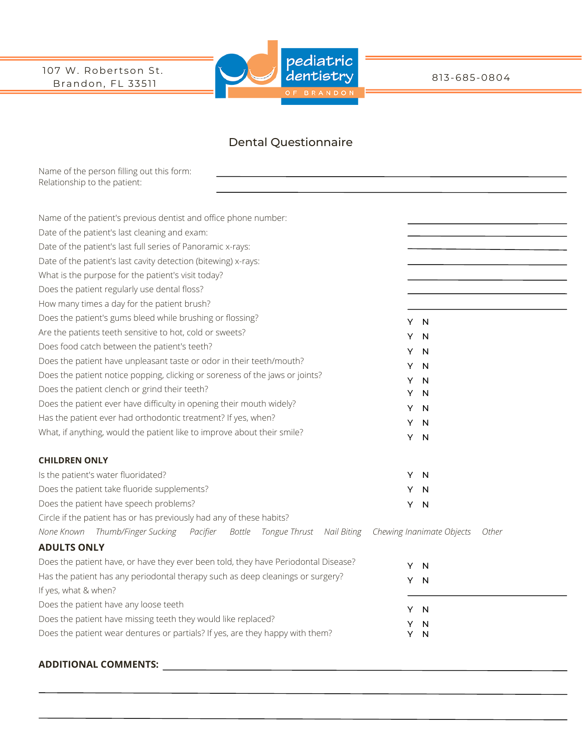107 W. Robertson St. Brandon, FL 33511



813-685-0804

# Dental Questionnaire

Name of the person filling out this form: Relationship to the patient:

| Name of the patient's previous dentist and office phone number:                    |    |                           |       |
|------------------------------------------------------------------------------------|----|---------------------------|-------|
| Date of the patient's last cleaning and exam:                                      |    |                           |       |
| Date of the patient's last full series of Panoramic x-rays:                        |    |                           |       |
| Date of the patient's last cavity detection (bitewing) x-rays:                     |    |                           |       |
| What is the purpose for the patient's visit today?                                 |    |                           |       |
| Does the patient regularly use dental floss?                                       |    |                           |       |
| How many times a day for the patient brush?                                        |    |                           |       |
| Does the patient's gums bleed while brushing or flossing?                          |    | Y N                       |       |
| Are the patients teeth sensitive to hot, cold or sweets?                           | Y  | N                         |       |
| Does food catch between the patient's teeth?                                       | Y  | N                         |       |
| Does the patient have unpleasant taste or odor in their teeth/mouth?               | Y  | N                         |       |
| Does the patient notice popping, clicking or soreness of the jaws or joints?       | Y  | N                         |       |
| Does the patient clench or grind their teeth?                                      | Y  | N                         |       |
| Does the patient ever have difficulty in opening their mouth widely?               | Y  | N                         |       |
| Has the patient ever had orthodontic treatment? If yes, when?                      | Y  | N                         |       |
| What, if anything, would the patient like to improve about their smile?            | Y. | N                         |       |
|                                                                                    |    |                           |       |
| <b>CHILDREN ONLY</b>                                                               |    |                           |       |
| Is the patient's water fluoridated?                                                | Y  | N                         |       |
| Does the patient take fluoride supplements?                                        | Y. | N                         |       |
| Does the patient have speech problems?                                             | Y. | N                         |       |
| Circle if the patient has or has previously had any of these habits?               |    |                           |       |
| None Known Thumb/Finger Sucking<br>Pacifier Bottle Tongue Thrust Nail Biting       |    | Chewing Inanimate Objects | Other |
| <b>ADULTS ONLY</b>                                                                 |    |                           |       |
| Does the patient have, or have they ever been told, they have Periodontal Disease? | Y  | N                         |       |
| Has the patient has any periodontal therapy such as deep cleanings or surgery?     | Y. | N                         |       |
| If yes, what & when?                                                               |    |                           |       |
| Does the patient have any loose teeth                                              |    | Y N                       |       |
| Does the patient have missing teeth they would like replaced?                      | Y  | N                         |       |
| Does the patient wear dentures or partials? If yes, are they happy with them?      | Y  | N                         |       |
|                                                                                    |    |                           |       |

## **ADDITIONAL COMMENTS:**